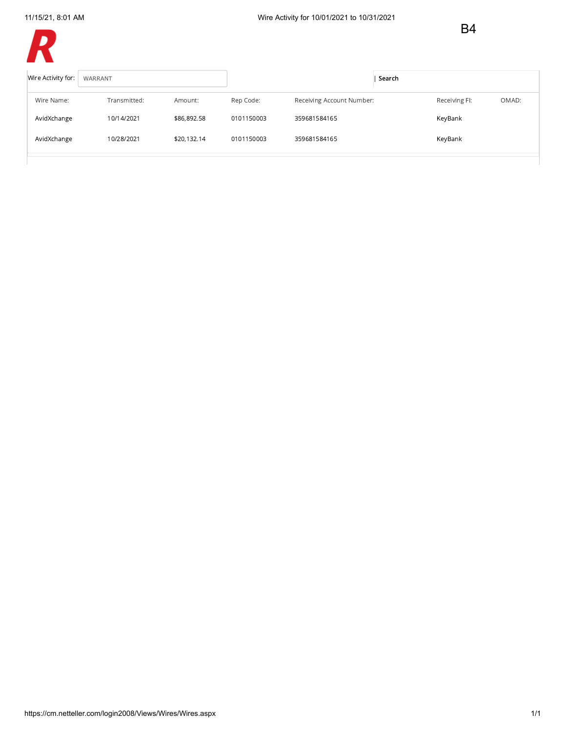B4



| Wire Activity for: | WARRANT      |             |            |                           | Search |               |       |
|--------------------|--------------|-------------|------------|---------------------------|--------|---------------|-------|
| Wire Name:         | Transmitted: | Amount:     | Rep Code:  | Receiving Account Number: |        | Receiving FI: | OMAD: |
| AvidXchange        | 10/14/2021   | \$86,892.58 | 0101150003 | 359681584165              |        | KeyBank       |       |
| AvidXchange        | 10/28/2021   | \$20,132.14 | 0101150003 | 359681584165              |        | KeyBank       |       |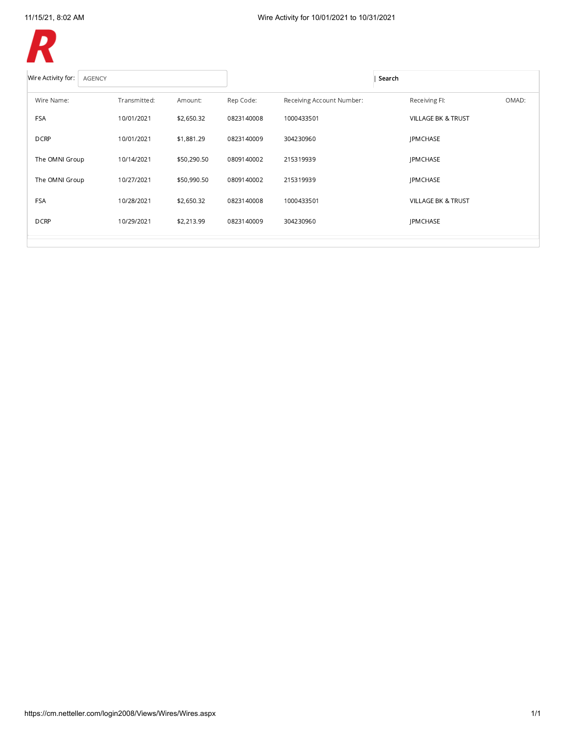

| Wire Activity for:<br><b>AGENCY</b> |              |             |            |                           | Search                        |
|-------------------------------------|--------------|-------------|------------|---------------------------|-------------------------------|
| Wire Name:                          | Transmitted: | Amount:     | Rep Code:  | Receiving Account Number: | OMAD:<br>Receiving FI:        |
| <b>FSA</b>                          | 10/01/2021   | \$2,650.32  | 0823140008 | 1000433501                | <b>VILLAGE BK &amp; TRUST</b> |
| <b>DCRP</b>                         | 10/01/2021   | \$1,881.29  | 0823140009 | 304230960                 | <b>JPMCHASE</b>               |
| The OMNI Group                      | 10/14/2021   | \$50,290.50 | 0809140002 | 215319939                 | <b>IPMCHASE</b>               |
| The OMNI Group                      | 10/27/2021   | \$50,990.50 | 0809140002 | 215319939                 | <b>JPMCHASE</b>               |
| <b>FSA</b>                          | 10/28/2021   | \$2,650.32  | 0823140008 | 1000433501                | <b>VILLAGE BK &amp; TRUST</b> |
| <b>DCRP</b>                         | 10/29/2021   | \$2,213.99  | 0823140009 | 304230960                 | <b>JPMCHASE</b>               |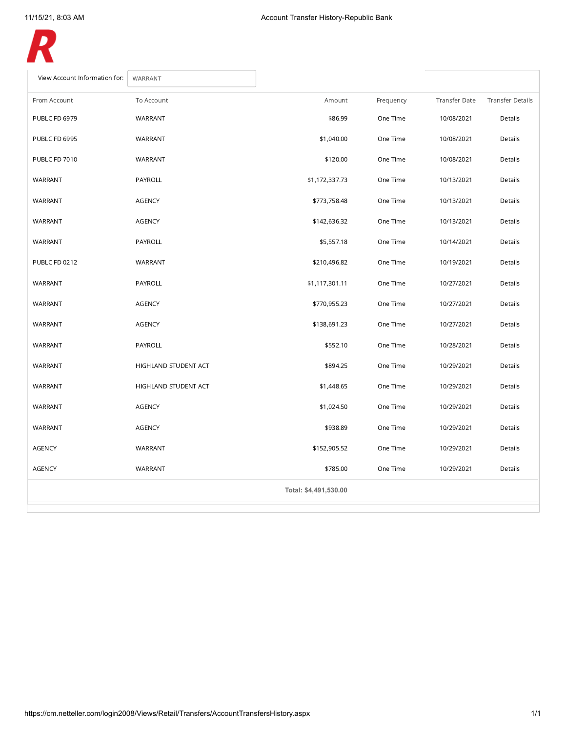

| View Account Information for:<br>WARRANT |                      |                       |           |                      |                         |
|------------------------------------------|----------------------|-----------------------|-----------|----------------------|-------------------------|
| From Account                             | To Account           | Amount                | Frequency | <b>Transfer Date</b> | <b>Transfer Details</b> |
| PUBLC FD 6979                            | WARRANT              | \$86.99               | One Time  | 10/08/2021           | Details                 |
| PUBLC FD 6995                            | WARRANT              | \$1,040.00            | One Time  | 10/08/2021           | Details                 |
| PUBLC FD 7010                            | WARRANT              | \$120.00              | One Time  | 10/08/2021           | Details                 |
| WARRANT                                  | PAYROLL              | \$1,172,337.73        | One Time  | 10/13/2021           | Details                 |
| WARRANT                                  | <b>AGENCY</b>        | \$773,758.48          | One Time  | 10/13/2021           | Details                 |
| WARRANT                                  | AGENCY               | \$142,636.32          | One Time  | 10/13/2021           | Details                 |
| WARRANT                                  | PAYROLL              | \$5,557.18            | One Time  | 10/14/2021           | Details                 |
| PUBLC FD 0212                            | WARRANT              | \$210,496.82          | One Time  | 10/19/2021           | Details                 |
| WARRANT                                  | PAYROLL              | \$1,117,301.11        | One Time  | 10/27/2021           | Details                 |
| WARRANT                                  | AGENCY               | \$770,955.23          | One Time  | 10/27/2021           | Details                 |
| WARRANT                                  | AGENCY               | \$138,691.23          | One Time  | 10/27/2021           | Details                 |
| WARRANT                                  | PAYROLL              | \$552.10              | One Time  | 10/28/2021           | Details                 |
| WARRANT                                  | HIGHLAND STUDENT ACT | \$894.25              | One Time  | 10/29/2021           | Details                 |
| WARRANT                                  | HIGHLAND STUDENT ACT | \$1,448.65            | One Time  | 10/29/2021           | Details                 |
| WARRANT                                  | <b>AGENCY</b>        | \$1,024.50            | One Time  | 10/29/2021           | Details                 |
| WARRANT                                  | AGENCY               | \$938.89              | One Time  | 10/29/2021           | Details                 |
| <b>AGENCY</b>                            | WARRANT              | \$152,905.52          | One Time  | 10/29/2021           | Details                 |
| <b>AGENCY</b>                            | WARRANT              | \$785.00              | One Time  | 10/29/2021           | Details                 |
|                                          |                      | Total: \$4,491,530.00 |           |                      |                         |
|                                          |                      |                       |           |                      |                         |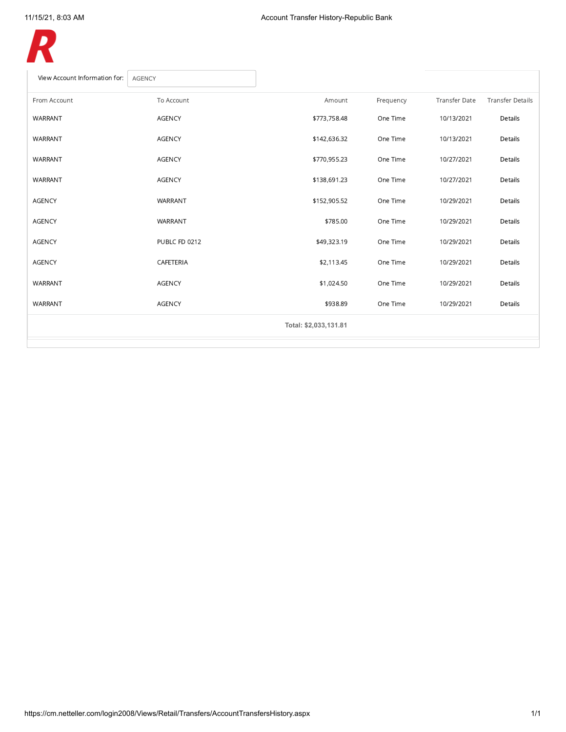<span id="page-3-0"></span>

| To Account    | Amount                | Frequency | <b>Transfer Date</b> | <b>Transfer Details</b> |
|---------------|-----------------------|-----------|----------------------|-------------------------|
| <b>AGENCY</b> | \$773,758.48          | One Time  | 10/13/2021           | Details                 |
| <b>AGENCY</b> | \$142,636.32          | One Time  | 10/13/2021           | Details                 |
| <b>AGENCY</b> | \$770,955.23          | One Time  | 10/27/2021           | Details                 |
| <b>AGENCY</b> | \$138,691.23          | One Time  | 10/27/2021           | Details                 |
| WARRANT       | \$152,905.52          | One Time  | 10/29/2021           | Details                 |
| WARRANT       | \$785.00              | One Time  | 10/29/2021           | Details                 |
| PUBLC FD 0212 | \$49,323.19           | One Time  | 10/29/2021           | Details                 |
| CAFETERIA     | \$2,113.45            | One Time  | 10/29/2021           | Details                 |
| <b>AGENCY</b> | \$1,024.50            | One Time  | 10/29/2021           | Details                 |
| <b>AGENCY</b> | \$938.89              | One Time  | 10/29/2021           | Details                 |
|               | Total: \$2,033,131.81 |           |                      |                         |
|               |                       |           |                      |                         |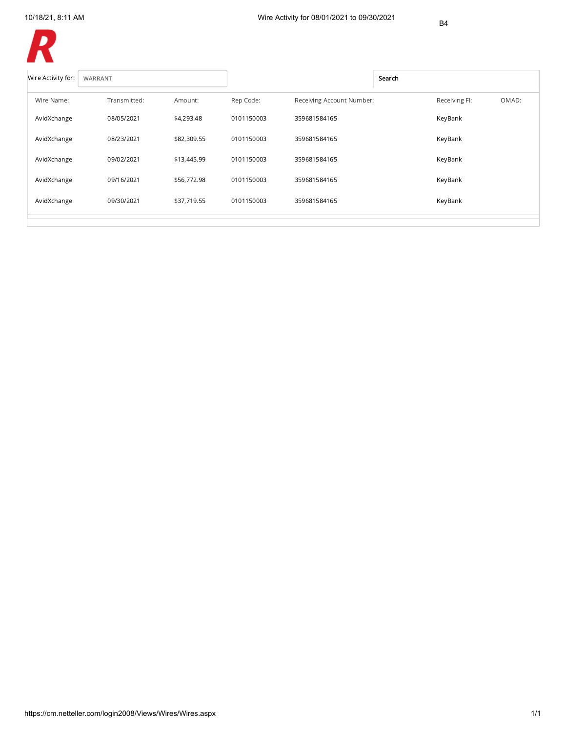B4



| Wire Activity for: | WARRANT      |             |            |                           | Search |               |       |
|--------------------|--------------|-------------|------------|---------------------------|--------|---------------|-------|
| Wire Name:         | Transmitted: | Amount:     | Rep Code:  | Receiving Account Number: |        | Receiving FI: | OMAD: |
| AvidXchange        | 08/05/2021   | \$4,293.48  | 0101150003 | 359681584165              |        | KeyBank       |       |
| AvidXchange        | 08/23/2021   | \$82,309.55 | 0101150003 | 359681584165              |        | KeyBank       |       |
| AvidXchange        | 09/02/2021   | \$13,445.99 | 0101150003 | 359681584165              |        | KeyBank       |       |
| AvidXchange        | 09/16/2021   | \$56,772.98 | 0101150003 | 359681584165              |        | KeyBank       |       |
| AvidXchange        | 09/30/2021   | \$37,719.55 | 0101150003 | 359681584165              |        | KeyBank       |       |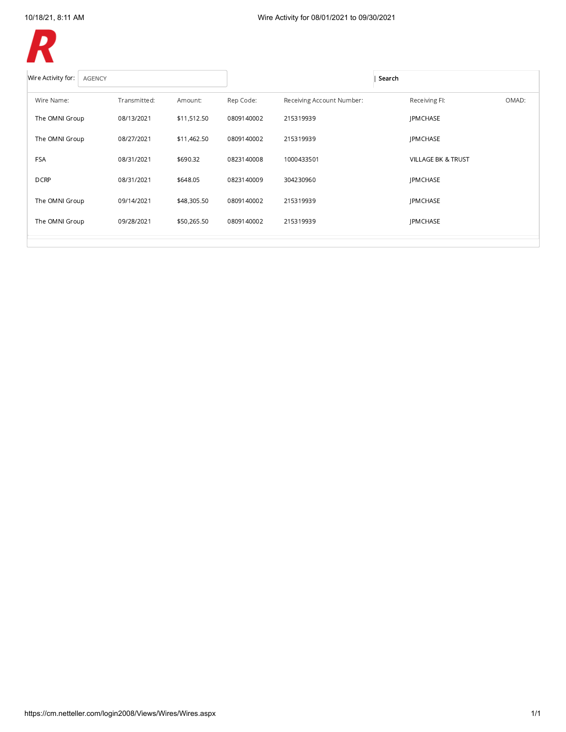

| Wire Activity for:<br><b>AGENCY</b> |              |             |            |                           | Search                        |  |
|-------------------------------------|--------------|-------------|------------|---------------------------|-------------------------------|--|
| Wire Name:                          | Transmitted: | Amount:     | Rep Code:  | Receiving Account Number: | Receiving FI:<br>OMAD:        |  |
| The OMNI Group                      | 08/13/2021   | \$11,512.50 | 0809140002 | 215319939                 | <b>IPMCHASE</b>               |  |
| The OMNI Group                      | 08/27/2021   | \$11,462.50 | 0809140002 | 215319939                 | <b>JPMCHASE</b>               |  |
| <b>FSA</b>                          | 08/31/2021   | \$690.32    | 0823140008 | 1000433501                | <b>VILLAGE BK &amp; TRUST</b> |  |
| <b>DCRP</b>                         | 08/31/2021   | \$648.05    | 0823140009 | 304230960                 | <b>JPMCHASE</b>               |  |
| The OMNI Group                      | 09/14/2021   | \$48,305.50 | 0809140002 | 215319939                 | <b>JPMCHASE</b>               |  |
| The OMNI Group                      | 09/28/2021   | \$50,265.50 | 0809140002 | 215319939                 | <b>JPMCHASE</b>               |  |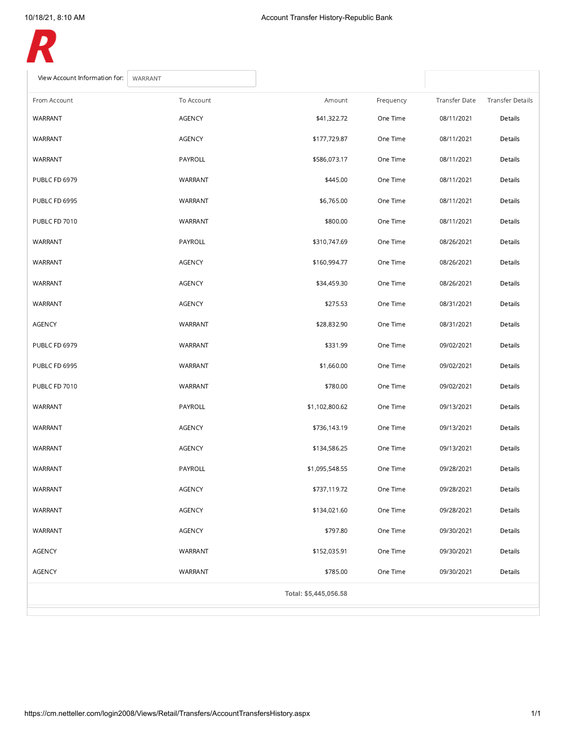<span id="page-6-0"></span>

| View Account Information for:<br>WARRANT |               |                       |           |               |                         |
|------------------------------------------|---------------|-----------------------|-----------|---------------|-------------------------|
| From Account                             | To Account    | Amount                | Frequency | Transfer Date | <b>Transfer Details</b> |
| WARRANT                                  | <b>AGENCY</b> | \$41,322.72           | One Time  | 08/11/2021    | Details                 |
| WARRANT                                  | <b>AGENCY</b> | \$177,729.87          | One Time  | 08/11/2021    | Details                 |
| WARRANT                                  | PAYROLL       | \$586,073.17          | One Time  | 08/11/2021    | Details                 |
| <b>PUBLC FD 6979</b>                     | WARRANT       | \$445.00              | One Time  | 08/11/2021    | Details                 |
| PUBLC FD 6995                            | WARRANT       | \$6,765.00            | One Time  | 08/11/2021    | Details                 |
| PUBLC FD 7010                            | WARRANT       | \$800.00              | One Time  | 08/11/2021    | Details                 |
| WARRANT                                  | PAYROLL       | \$310,747.69          | One Time  | 08/26/2021    | Details                 |
| WARRANT                                  | <b>AGENCY</b> | \$160,994.77          | One Time  | 08/26/2021    | Details                 |
| WARRANT                                  | <b>AGENCY</b> | \$34,459.30           | One Time  | 08/26/2021    | Details                 |
| WARRANT                                  | <b>AGENCY</b> | \$275.53              | One Time  | 08/31/2021    | Details                 |
| <b>AGENCY</b>                            | WARRANT       | \$28,832.90           | One Time  | 08/31/2021    | Details                 |
| PUBLC FD 6979                            | WARRANT       | \$331.99              | One Time  | 09/02/2021    | Details                 |
| PUBLC FD 6995                            | WARRANT       | \$1,660.00            | One Time  | 09/02/2021    | Details                 |
| PUBLC FD 7010                            | WARRANT       | \$780.00              | One Time  | 09/02/2021    | Details                 |
| WARRANT                                  | PAYROLL       | \$1,102,800.62        | One Time  | 09/13/2021    | Details                 |
| WARRANT                                  | AGENCY        | \$736,143.19          | One Time  | 09/13/2021    | Details                 |
| WARRANT                                  | AGENCY        | \$134,586.25          | One Time  | 09/13/2021    | Details                 |
| WARRANT                                  | PAYROLL       | \$1,095,548.55        | One Time  | 09/28/2021    | Details                 |
| WARRANT                                  | AGENCY        | \$737,119.72          | One Time  | 09/28/2021    | Details                 |
| WARRANT                                  | AGENCY        | \$134,021.60          | One Time  | 09/28/2021    | Details                 |
| WARRANT                                  | AGENCY        | \$797.80              | One Time  | 09/30/2021    | Details                 |
| <b>AGENCY</b>                            | WARRANT       | \$152,035.91          | One Time  | 09/30/2021    | Details                 |
| AGENCY                                   | WARRANT       | \$785.00              | One Time  | 09/30/2021    | Details                 |
|                                          |               | Total: \$5,445,056.58 |           |               |                         |